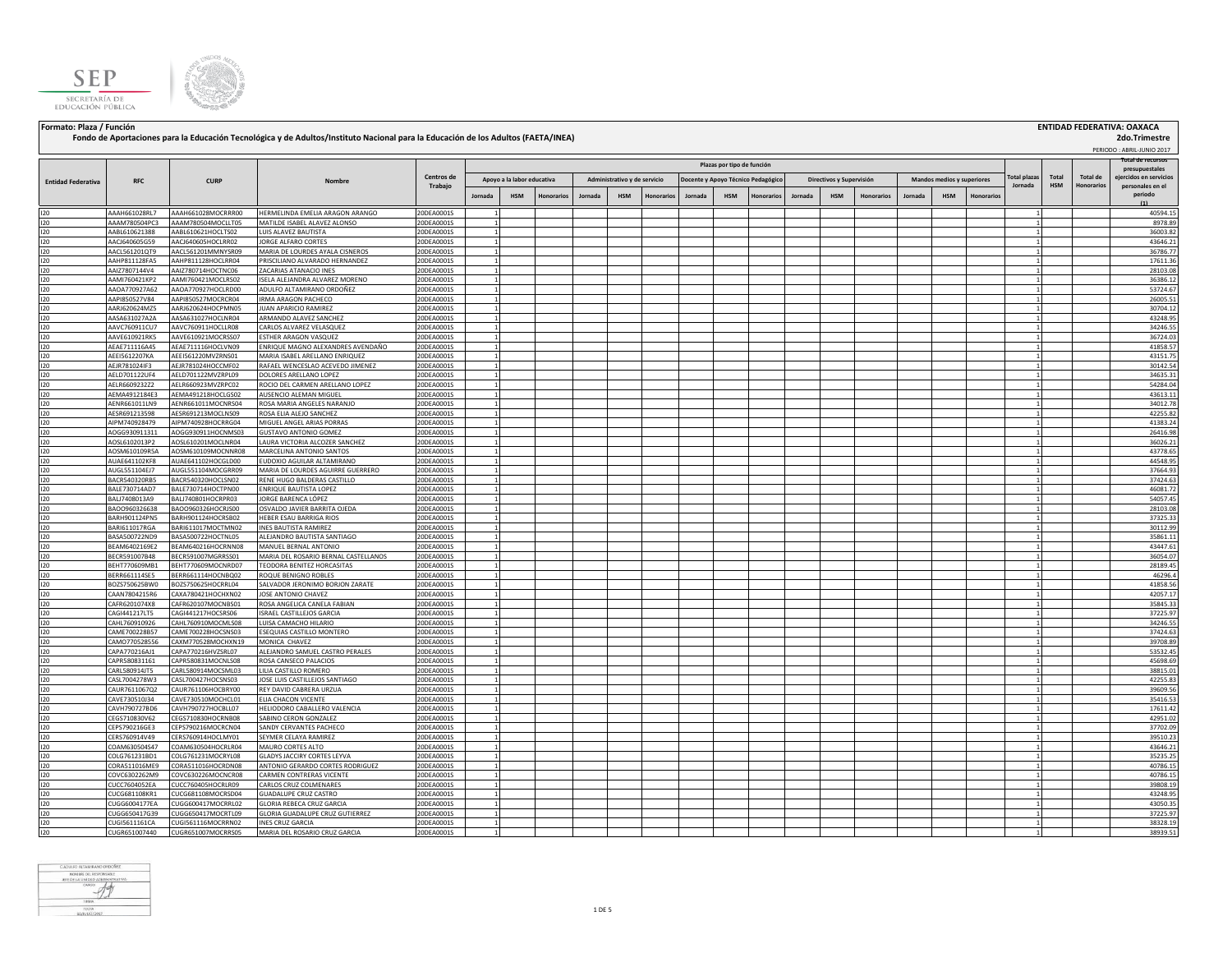



## Formato: Plaza / Función **ENTIDAD FEDERATIVA: OAXACA (INSTITUAL ENTIDA)**<br>Fondo de Aportaciones para la Educación Tecnológica y de Adultos/Instituto Nacional para la Educación de los Adultos (FAETA/INEA)

 **2do.Trimestre**

|                           |                                |                                          |                                                              |                          |                            |            |                   |                              |            |            |         |                            |                                    |         |                          |            |         |                            |           |              |       |            | PERIODO: ABRIL-JUNIO 2017                |
|---------------------------|--------------------------------|------------------------------------------|--------------------------------------------------------------|--------------------------|----------------------------|------------|-------------------|------------------------------|------------|------------|---------|----------------------------|------------------------------------|---------|--------------------------|------------|---------|----------------------------|-----------|--------------|-------|------------|------------------------------------------|
|                           |                                |                                          |                                                              |                          |                            |            |                   |                              |            |            |         | Plazas por tipo de función |                                    |         |                          |            |         |                            |           |              |       |            | Total de recursos                        |
|                           |                                |                                          |                                                              | Centros de               |                            |            |                   |                              |            |            |         |                            |                                    |         |                          |            |         |                            |           | Total plazas | Total | Total de   | presupuestales<br>eiercidos en servicios |
| <b>Entidad Federativa</b> | <b>RFC</b>                     | <b>CURP</b>                              | Nombre                                                       | Trabajo                  | Apoyo a la labor educativa |            |                   | Administrativo y de servicio |            |            |         |                            | Docente y Apoyo Técnico Pedagógico |         | Directivos y Supervisión |            |         | Mandos medios y superiores |           | Jornada      | HSM   | Honorarios | personales en el                         |
|                           |                                |                                          |                                                              |                          | Jornada                    | <b>HSM</b> | <b>Honorarios</b> | Jornada                      | <b>HSM</b> | Honorario: | Jornada | <b>HSM</b>                 | <b>Ionorarios</b>                  | Jornada | <b>HSM</b>               | Honorarios | Jornada | <b>HSM</b>                 | Honorario |              |       |            | periodo                                  |
|                           |                                |                                          |                                                              |                          |                            |            |                   |                              |            |            |         |                            |                                    |         |                          |            |         |                            |           |              |       |            | (1)                                      |
| 120                       | AAAH661028RL7                  | AAAH661028MOCRRR00                       | HERMELINDA EMELIA ARAGON ARANGO                              | 20DEA0001S               |                            |            |                   |                              |            |            |         |                            |                                    |         |                          |            |         |                            |           |              |       |            | 40594.1                                  |
| 120                       | AAAM780504PC3                  | AAAM780504MOCLLT05                       | MATILDE ISABEL ALAVEZ ALONSO                                 | 20DEA0001S               | 1                          |            |                   |                              |            |            |         |                            |                                    |         |                          |            |         |                            |           |              |       |            | 8978.89                                  |
| 120                       | AABL610621388                  | AABL610621HOCLTS02                       | LUIS ALAVEZ BAUTISTA                                         | 20DEA0001S               |                            |            |                   |                              |            |            |         |                            |                                    |         |                          |            |         |                            |           |              |       |            | 36003.82                                 |
| 120                       | AACJ640605G59                  | AACJ640605HOCLRR02                       | <b>JORGE ALFARO CORTES</b>                                   | 20DEA0001S               | 1                          |            |                   |                              |            |            |         |                            |                                    |         |                          |            |         |                            |           |              |       |            | 43646.21                                 |
| 120                       | AACL561201QT9                  | AACL561201MMNYSR09                       | MARIA DE LOURDES AYALA CISNEROS                              | 20DEA0001S               | 1                          |            |                   |                              |            |            |         |                            |                                    |         |                          |            |         |                            |           |              |       |            | 36786.77                                 |
| 120                       | AAHP811128FA5                  | AAHP811128HOCLRR04                       | PRISCILIANO ALVARADO HERNANDEZ                               | 20DEA0001S               |                            |            |                   |                              |            |            |         |                            |                                    |         |                          |            |         |                            |           |              |       |            | 17611.36                                 |
| 120                       | AAIZ7807144V4                  | AAIZ780714HOCTNC06                       | ZACARIAS ATANACIO INES                                       | 20DEA0001S               |                            |            |                   |                              |            |            |         |                            |                                    |         |                          |            |         |                            |           |              |       |            | 28103.08                                 |
| 120                       | AAMI760421KP2                  | AAMI760421MOCLRS02                       | ISELA ALEJANDRA ALVAREZ MORENO                               | 20DEA0001S               | 1                          |            |                   |                              |            |            |         |                            |                                    |         |                          |            |         |                            |           |              |       |            | 36386.12                                 |
| 120                       | AAOA770927A62                  | AAOA770927HOCLRD00                       | ADULFO ALTAMIRANO ORDOÑEZ                                    | 20DEA0001S               |                            |            |                   |                              |            |            |         |                            |                                    |         |                          |            |         |                            |           |              |       |            | 53724.67                                 |
| 120                       | AAPI850527V84                  | AAPI850527MOCRCR04                       | <b>IRMA ARAGON PACHECO</b>                                   | 20DEA0001S               | 1                          |            |                   |                              |            |            |         |                            |                                    |         |                          |            |         |                            |           |              |       |            | 26005.5                                  |
| 120<br>120                | AARJ620624MZ5<br>AASA631027A2A | AARJ620624HOCPMN05<br>AASA631027HOCLNR04 | <b>UAN APARICIO RAMIREZ</b><br>ARMANDO ALAVEZ SANCHEZ        | 20DEA0001S<br>20DEA0001S | 11<br>11                   |            |                   |                              |            |            |         |                            |                                    |         |                          |            |         |                            |           |              |       |            | 30704.12<br>43248.95                     |
| 120                       |                                | AAVC760911HOCLLR08                       | CARLOS ALVAREZ VELASQUEZ                                     | 20DEA0001S               | $\overline{1}$             |            |                   |                              |            |            |         |                            |                                    |         |                          |            |         |                            |           |              |       |            | 34246.55                                 |
| 120                       | AAVC760911CU7<br>AAVE610921RK5 | AAVE610921MOCRSS07                       | ESTHER ARAGON VASQUEZ                                        | 20DEA0001S               | 11                         |            |                   |                              |            |            |         |                            |                                    |         |                          |            |         |                            |           |              |       |            | 36724.0                                  |
| 120                       | AEAE711116A45                  | AEAE711116HOCLVN09                       | ENRIQUE MAGNO ALEXANDRES AVENDAÑO                            | 20DEA0001S               | 11                         |            |                   |                              |            |            |         |                            |                                    |         |                          |            |         |                            |           |              |       |            | 41858.57                                 |
| 120                       | AEEI5612207KA                  | AEEI561220MVZRNS01                       | MARIA ISABEL ARELLANO ENRIQUEZ                               | 20DEA0001S               | 1                          |            |                   |                              |            |            |         |                            |                                    |         |                          |            |         |                            |           |              |       |            | 43151.75                                 |
| 120                       | AEJR781024IF3                  | AEJR781024HOCCMF02                       | RAFAEL WENCESLAO ACEVEDO JIMENEZ                             | 20DEA0001S               | 11                         |            |                   |                              |            |            |         |                            |                                    |         |                          |            |         |                            |           |              |       |            | 30142.54                                 |
| 120                       | AELD701122UF4                  | AELD701122MVZRPL09                       | DOLORES ARELLANO LOPEZ                                       | 20DEA0001S               | 11                         |            |                   |                              |            |            |         |                            |                                    |         |                          |            |         |                            |           |              |       |            | 34635.3                                  |
| 120                       | AELR6609232Z2                  | AELR660923MVZRPC02                       | ROCIO DEL CARMEN ARELLANO LOPEZ                              | 20DEA0001S               | 11                         |            |                   |                              |            |            |         |                            |                                    |         |                          |            |         |                            |           |              |       |            | 54284.04                                 |
| 120                       | AEMA4912184E3                  | AEMA491218HOCLGS02                       | AUSENCIO ALEMAN MIGUEL                                       | 20DEA0001S               | 1                          |            |                   |                              |            |            |         |                            |                                    |         |                          |            |         |                            |           |              |       |            | 43613.1                                  |
| 120                       | AENR661011LN9                  | AENR661011MOCNRS04                       | ROSA MARIA ANGELES NARANJO                                   | 20DEA0001S               | $\mathbf{1}$               |            |                   |                              |            |            |         |                            |                                    |         |                          |            |         |                            |           |              |       |            | 34012.78                                 |
| 120                       | AESR691213598                  | AESR691213MOCLNS09                       | ROSA ELIA ALEJO SANCHEZ                                      | 20DEA0001S               | 1                          |            |                   |                              |            |            |         |                            |                                    |         |                          |            |         |                            |           |              |       |            | 42255.82                                 |
| 120                       | AIPM740928479                  | AIPM740928HOCRRG04                       | MIGUEL ANGEL ARIAS PORRAS                                    | 20DEA0001S               | 1                          |            |                   |                              |            |            |         |                            |                                    |         |                          |            |         |                            |           |              |       |            | 41383.2                                  |
| 120                       | AOGG930911311                  | AOGG930911HOCNMS03                       | <b>GUSTAVO ANTONIO GOMEZ</b>                                 | 20DEA0001S               | 1                          |            |                   |                              |            |            |         |                            |                                    |         |                          |            |         |                            |           |              |       |            | 26416.98                                 |
| 120                       | AOSL6102013P2                  | AOSL610201MOCLNR04                       | LAURA VICTORIA ALCOZER SANCHEZ                               | 20DEA0001S               | 1                          |            |                   |                              |            |            |         |                            |                                    |         |                          |            |         |                            |           |              |       |            | 36026.23                                 |
| 120                       | AOSM610109R5A                  | AOSM610109MOCNNR08                       | MARCELINA ANTONIO SANTOS                                     | 20DEA0001S               | 11                         |            |                   |                              |            |            |         |                            |                                    |         |                          |            |         |                            |           |              |       |            | 43778.65                                 |
| 120                       | AUAE641102KF8                  | AUAE641102HOCGLD00                       | EUDOXIO AGUILAR ALTAMIRANO                                   | 20DEA0001S               | 11                         |            |                   |                              |            |            |         |                            |                                    |         |                          |            |         |                            |           |              |       |            | 44548.95                                 |
| 120                       | AUGL551104EJ7                  | AUGL551104MOCGRR09                       | MARIA DE LOURDES AGUIRRE GUERRERO                            | 20DEA0001S               | $\mathbf{1}$               |            |                   |                              |            |            |         |                            |                                    |         |                          |            |         |                            |           |              |       |            | 37664.93                                 |
| 120                       | BACR540320RB5                  | BACR540320HOCLSN02                       | RENE HUGO BALDERAS CASTILLO                                  | 20DEA0001S               | $\mathbf{1}$               |            |                   |                              |            |            |         |                            |                                    |         |                          |            |         |                            |           |              |       |            | 37424.63                                 |
| 120                       | BALE730714AD7                  | BALE730714HOCTPN00                       | ENRIQUE BAUTISTA LOPEZ                                       | 20DEA0001S               | $\mathbf{1}$               |            |                   |                              |            |            |         |                            |                                    |         |                          |            |         |                            |           |              |       |            | 46081.72                                 |
| 120                       | BALJ7408013A9                  | BALJ740801HOCRPR03                       | JORGE BARENCA LÓPEZ                                          | 20DEA0001S               | 11                         |            |                   |                              |            |            |         |                            |                                    |         |                          |            |         |                            |           |              |       |            | 54057.45                                 |
| 120                       | BAO0960326638                  | BAOO960326HOCRJS00                       | OSVALDO JAVIER BARRITA OJEDA                                 | 20DEA0001S               | 11                         |            |                   |                              |            |            |         |                            |                                    |         |                          |            |         |                            |           |              |       |            | 28103.08                                 |
| 120                       | BARH901124PN5                  | BARH901124HOCRSB02                       | HEBER ESAU BARRIGA RIOS                                      | 20DEA0001S               | 11                         |            |                   |                              |            |            |         |                            |                                    |         |                          |            |         |                            |           |              |       |            | 37325.33                                 |
| 120                       | BARI611017RGA                  | BARI611017MOCTMN02                       | <b>INES BAUTISTA RAMIREZ</b>                                 | 20DEA0001S               | 11<br>1                    |            |                   |                              |            |            |         |                            |                                    |         |                          |            |         |                            |           |              |       |            | 30112.99                                 |
| 120<br>120                | BASA500722ND9<br>BEAM6402169E2 | BASA500722HOCTNL05<br>BEAM640216HOCRNN08 | ALEJANDRO BAUTISTA SANTIAGO<br>MANUEL BERNAL ANTONIO         | 20DEA0001S<br>20DEA0001S | 1                          |            |                   |                              |            |            |         |                            |                                    |         |                          |            |         |                            |           |              |       |            | 35861.13<br>43447.6                      |
| 120                       | BECR591007B48                  | BECR591007MGRRSS01                       | MARIA DEL ROSARIO BERNAL CASTELLANOS                         | 20DEA0001S               | 1                          |            |                   |                              |            |            |         |                            |                                    |         |                          |            |         |                            |           |              |       |            | 36054.07                                 |
| 120                       | BEHT770609MB1                  | BEHT770609MOCNRD07                       | TEODORA BENITEZ HORCASITAS                                   | 20DEA0001S               | $\mathbf{1}$               |            |                   |                              |            |            |         |                            |                                    |         |                          |            |         |                            |           |              |       |            | 28189.45                                 |
| 120                       | BERR661114SE5                  | BERR661114HOCNBQ02                       | ROQUE BENIGNO ROBLES                                         | 20DEA0001S               |                            |            |                   |                              |            |            |         |                            |                                    |         |                          |            |         |                            |           |              |       |            | 46296.4                                  |
| 120                       | BOZS750625BW0                  | BOZS750625HOCRRL04                       | SALVADOR JERONIMO BORJON ZARATE                              | 20DEA0001S               |                            |            |                   |                              |            |            |         |                            |                                    |         |                          |            |         |                            |           |              |       |            | 41858.56                                 |
| 120                       | CAAN7804215R6                  | CAXA780421HOCHXN02                       | IOSE ANTONIO CHAVEZ                                          | 20DEA0001S               | 1                          |            |                   |                              |            |            |         |                            |                                    |         |                          |            |         |                            |           |              |       |            | 42057.17                                 |
| 120                       | CAFR6201074X8                  | CAFR620107MOCNBS01                       | ROSA ANGELICA CANELA FABIAN                                  | 20DEA0001S               | $\overline{1}$             |            |                   |                              |            |            |         |                            |                                    |         |                          |            |         |                            |           |              |       |            | 35845.33                                 |
| 120                       | CAGI441217LT5                  | CAGI441217HOCSRS06                       | <b>ISRAEL CASTILLEJOS GARCIA</b>                             | 20DEA0001S               |                            |            |                   |                              |            |            |         |                            |                                    |         |                          |            |         |                            |           |              |       |            | 37225.97                                 |
| 120                       | CAHL760910926                  | CAHL760910MOCMLS08                       | LUISA CAMACHO HILARIO                                        | 20DEA0001S               | 11                         |            |                   |                              |            |            |         |                            |                                    |         |                          |            |         |                            |           |              |       |            | 34246.55                                 |
| 120                       | CAME700228B57                  | CAME700228HOCSNS03                       | ESEQUIAS CASTILLO MONTERO                                    | 20DEA0001S               | 1                          |            |                   |                              |            |            |         |                            |                                    |         |                          |            |         |                            |           |              |       |            | 37424.63                                 |
| 120                       | CAMO770528556                  | CAXM770528MOCHXN19                       | MONICA CHAVEZ                                                | 20DEA0001S               |                            |            |                   |                              |            |            |         |                            |                                    |         |                          |            |         |                            |           |              |       |            | 39708.89                                 |
| 120                       | CAPA770216AJ1                  | CAPA770216HVZSRL07                       | ALEJANDRO SAMUEL CASTRO PERALES                              | 20DEA0001S               | 11                         |            |                   |                              |            |            |         |                            |                                    |         |                          |            |         |                            |           |              |       |            | 53532.45                                 |
| 120                       | CAPR580831161                  | CAPR580831MOCNLS08                       | ROSA CANSECO PALACIOS                                        | 20DEA0001S               | 11                         |            |                   |                              |            |            |         |                            |                                    |         |                          |            |         |                            |           |              |       |            | 45698.69                                 |
| 120                       | CARL580914JT5                  | CARL580914MOCSML03                       | LILIA CASTILLO ROMERO                                        | 20DEA0001S               |                            |            |                   |                              |            |            |         |                            |                                    |         |                          |            |         |                            |           |              |       |            | 38815.0                                  |
| 120                       | CASL7004278W3                  | CASL700427HOCSNS03                       | JOSE LUIS CASTILLEJOS SANTIAGO                               | 20DEA0001S               | 1                          |            |                   |                              |            |            |         |                            |                                    |         |                          |            |         |                            |           |              |       |            | 42255.8                                  |
| 120                       | CAUR7611067Q2                  | CAUR761106HOCBRY00                       | REY DAVID CABRERA URZUA                                      | 20DEA0001S               | $\mathbf{1}$               |            |                   |                              |            |            |         |                            |                                    |         |                          |            |         |                            |           |              |       |            | 39609.56                                 |
| 120                       | CAVE730510J34                  | CAVE730510MOCHCL01                       | ELIA CHACON VICENTE                                          | 20DEA0001S               |                            |            |                   |                              |            |            |         |                            |                                    |         |                          |            |         |                            |           |              |       |            | 35416.5                                  |
| 120                       | CAVH790727BD6                  | CAVH790727HOCBLL07                       | HELIODORO CABALLERO VALENCIA                                 | 20DEA0001S               | 11                         |            |                   |                              |            |            |         |                            |                                    |         |                          |            |         |                            |           |              |       |            | 17611.42                                 |
| 120                       | CEGS710830V62                  | CEGS710830HOCRNB08                       | <b>SABINO CERON GONZALEZ</b>                                 | 20DEA0001S               | 1                          |            |                   |                              |            |            |         |                            |                                    |         |                          |            |         |                            |           |              |       |            | 42951.02                                 |
| 120                       | CEPS790216GE3                  | CEPS790216MOCRCN04                       | SANDY CERVANTES PACHECO                                      | 20DEA0001S               | 11                         |            |                   |                              |            |            |         |                            |                                    |         |                          |            |         |                            |           |              |       |            | 37702.09                                 |
| 120                       | CERS760914V49                  | CERS760914HOCLMY01                       | SEYMER CELAYA RAMIREZ                                        | 20DEA0001S               | 11                         |            |                   |                              |            |            |         |                            |                                    |         |                          |            |         |                            |           |              |       |            | 39510.23                                 |
| 120                       | COAM630504S47                  | COAM630504HOCRLR04                       | MAURO CORTES ALTO                                            | 20DEA0001S               | 11<br>1                    |            |                   |                              |            |            |         |                            |                                    |         |                          |            |         |                            |           |              |       |            | 43646.23                                 |
| 120                       | COLG761231BD1                  | COLG761231MOCRYL08                       | GLADYS JACCIRY CORTES LEYVA                                  | 20DEA0001S               |                            |            |                   |                              |            |            |         |                            |                                    |         |                          |            |         |                            |           |              |       |            | 35235.25                                 |
| 120<br>120                | CORA511016ME9<br>COVC6302262M9 | CORA511016HOCRDN08<br>COVC630226MOCNCR08 | ANTONIO GERARDO CORTES RODRIGUEZ<br>CARMEN CONTRERAS VICENTE | 20DEA0001S<br>20DEA0001S | 1<br>11                    |            |                   |                              |            |            |         |                            |                                    |         |                          |            |         |                            |           |              |       |            | 40786.19<br>40786.19                     |
| 120                       | CUCC7604052EA                  | CUCC760405HOCRLR09                       | CARLOS CRUZ COLMENARES                                       | 20DEA0001S               | 1                          |            |                   |                              |            |            |         |                            |                                    |         |                          |            |         |                            |           |              |       |            | 39808.19                                 |
| 120                       | CUCG681108KR1                  | CUCG681108MOCRSD04                       | <b>GUADALUPE CRUZ CASTRO</b>                                 | 20DEA0001S               | 11                         |            |                   |                              |            |            |         |                            |                                    |         |                          |            |         |                            |           |              |       |            | 43248.95                                 |
| 120                       | CUGG6004177EA                  | CUGG600417MOCRRL02                       | GLORIA REBECA CRUZ GARCIA                                    | 20DEA0001S               | 1                          |            |                   |                              |            |            |         |                            |                                    |         |                          |            |         |                            |           |              |       |            | 43050.35                                 |
| 120                       | CUGG650417G39                  | CUGG650417MOCRTL09                       | GLORIA GUADALUPE CRUZ GUTIERREZ                              | 20DEA0001S               | 11                         |            |                   |                              |            |            |         |                            |                                    |         |                          |            |         |                            |           |              |       |            | 37225.97                                 |
| 120                       | CUGI5611161CA                  | CUGI561116MOCRRN02                       | INES CRUZ GARCIA                                             | 20DEA0001S               | 11                         |            |                   |                              |            |            |         |                            |                                    |         |                          |            |         |                            |           |              |       |            | 38328.19                                 |
| 120                       | CUGR651007440                  | CUGR651007MOCRRS05                       | MARIA DEL ROSARIO CRUZ GARCIA                                | 20DEA0001S               | 1                          |            |                   |                              |            |            |         |                            |                                    |         |                          |            |         |                            |           |              |       |            | 38939.51                                 |

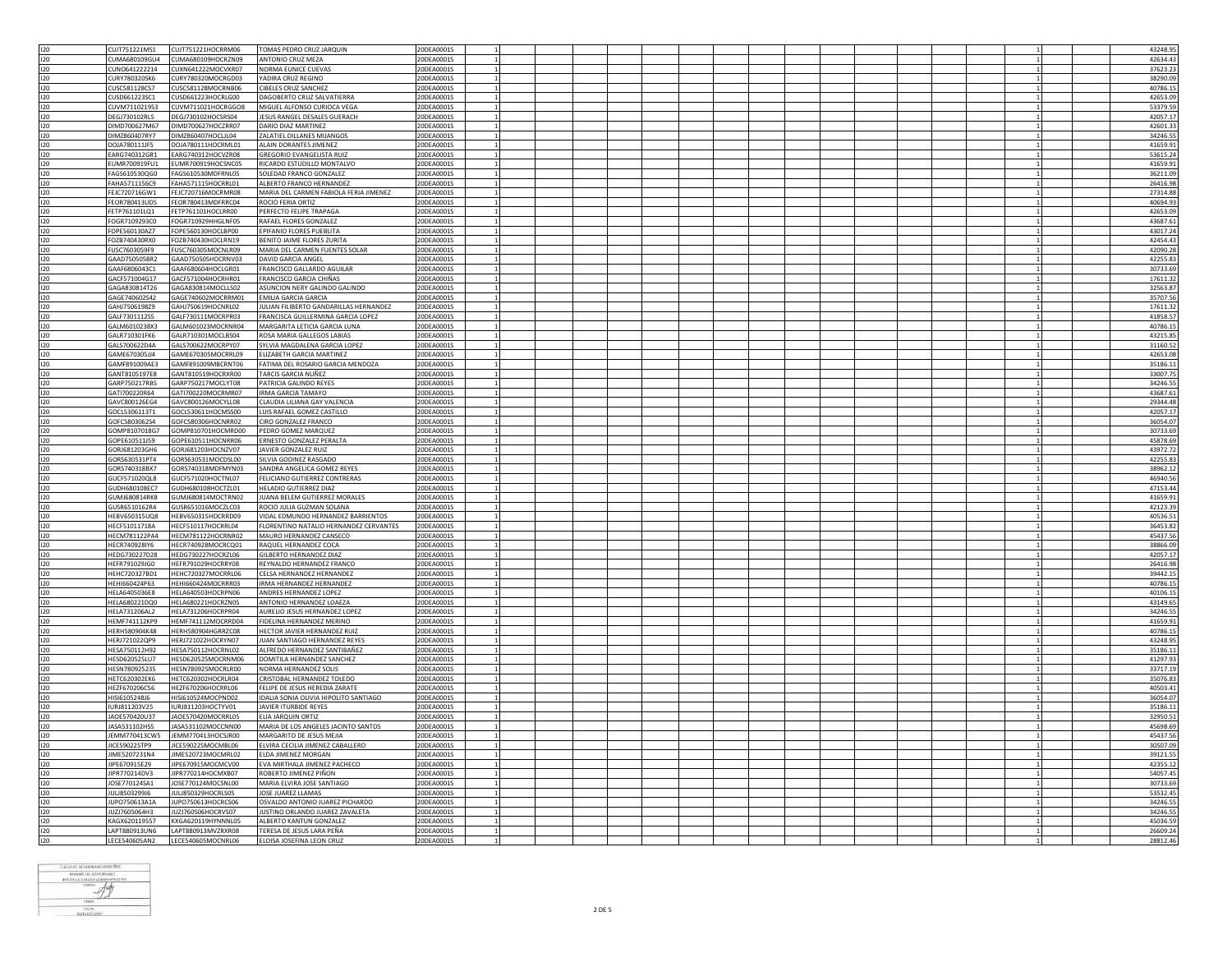| 120 | CUJT751221MS1        | CUJT751221HOCRRM06               | TOMAS PEDRO CRUZ JARQUIN               | 20DEA0001S                 |  |  |  |  |  | 43248.95 |
|-----|----------------------|----------------------------------|----------------------------------------|----------------------------|--|--|--|--|--|----------|
|     | CUMA680109GU4        | CUMA680109HOCRZN09               | ANTONIO CRUZ MEZA                      | 20DEA0001S                 |  |  |  |  |  | 42634.43 |
| 120 |                      |                                  |                                        |                            |  |  |  |  |  |          |
| 120 | CUNO641222214        | CUXN641222MOCVXR07               | NORMA EUNICE CUEVAS                    | 20DEA0001S                 |  |  |  |  |  | 37623.23 |
|     | CURY780320SK6        | CURY780320MOCRGD03               | YADIRA CRUZ REGINO                     | 20DEA0001S                 |  |  |  |  |  | 38290.09 |
| 120 |                      |                                  |                                        |                            |  |  |  |  |  |          |
| 120 | CUSC581128CS7        | CUSC581128MOCRNB06               | CIBELES CRUZ SANCHEZ                   | 20DEA0001S                 |  |  |  |  |  | 40786.15 |
|     |                      |                                  |                                        |                            |  |  |  |  |  |          |
| 120 | CUSD661223SC1        | CUSD661223HOCRLG00               | DAGOBERTO CRUZ SALVATIERRA             | 20DEA0001S                 |  |  |  |  |  | 42653.09 |
| 120 | CUVM711021953        | CUVM711021HOCRGGO8               | MIGUEL ALFONSO CURIOCA VEGA            | 20DEA0001S                 |  |  |  |  |  | 53379.59 |
| 120 | DEG1730102RL5        | DEGJ730102HOCSRS04               | <b>IFSUS RANGEL DESALES GUERACH</b>    | 20DEA0001S<br>$\mathbf{1}$ |  |  |  |  |  | 42057.17 |
|     |                      |                                  |                                        |                            |  |  |  |  |  |          |
| 120 | DIMD700627M67        | DIMD700627HOCZRR07               | DARIO DIAZ MARTINEZ                    | 20DEA0001S                 |  |  |  |  |  | 42601.33 |
| 120 | DIMZ860407RY7        | DIMZ860407HOCLJL04               | ZALATIEL DILLANES MIJANGOS             | 20DEA0001S<br>$\mathbf{1}$ |  |  |  |  |  | 34246.5  |
|     |                      |                                  |                                        |                            |  |  |  |  |  |          |
| 120 | DOJA780111JF5        | DOJA780111HOCRML01               | ALAIN DORANTES JIMENEZ                 | 20DEA0001S                 |  |  |  |  |  | 41659.91 |
| 120 | FARG740312GR1        | EARG740312HOCVZR08               | <b>GREGORIO EVANGELISTA RUIZ</b>       | 20DEA0001S<br>$\mathbf{1}$ |  |  |  |  |  | 53615.24 |
|     |                      |                                  |                                        |                            |  |  |  |  |  |          |
| 120 | UMR700919FU1         | EUMR700919HOCSNC05               | RICARDO ESTUDILLO MONTALVO             | 20DEA0001S                 |  |  |  |  |  | 41659.91 |
| 120 | FAGS610530QG0        | FAGS610530MDFRNL05               | SOLEDAD FRANCO GONZALEZ                | 20DEA0001S                 |  |  |  |  |  | 36211.09 |
|     |                      |                                  |                                        |                            |  |  |  |  |  |          |
| 120 | FAHA5711156C9        | FAHA571115HOCRRL01               | ALBERTO FRANCO HERNANDEZ               | 20DEA0001S                 |  |  |  |  |  | 26416.98 |
|     |                      |                                  |                                        |                            |  |  |  |  |  |          |
| 120 | FEJC720716GW1        | FEJC720716MOCRMR08               | MARIA DEL CARMEN FABIOLA FERIA JIMENEZ | 20DEA0001S                 |  |  |  |  |  | 27314.88 |
| 120 | EOR780413UD5         | FEOR780413MDFRRC04               | ROCIO FERIA ORTIZ                      | 20DEA0001S                 |  |  |  |  |  | 40694.93 |
|     |                      |                                  |                                        |                            |  |  |  |  |  |          |
| 120 | FETP761101LQ1        | FETP761101HOCLRR00               | PERFECTO FELIPE TRAPAGA                | 20DEA0001S                 |  |  |  |  |  | 42653.09 |
| 120 | EOGR7109293C0        | FOGR710929HHGLNF05               | <b>RAFAEL ELORES GONZALEZ</b>          | 20DEA0001S                 |  |  |  |  |  | 43687.6  |
|     |                      |                                  |                                        |                            |  |  |  |  |  |          |
| 120 | FOPE560130AZ7        | FOPE560130HOCLBP00               | EPIFANIO FLORES PUEBLITA               | 20DEA0001S                 |  |  |  |  |  | 43017.24 |
| 120 | FOZB740430RX0        | FOZB740430HOCLRN19               | <b>BENITO JAIME FLORES ZURITA</b>      | 20DEA0001S                 |  |  |  |  |  | 42454.43 |
|     |                      |                                  |                                        |                            |  |  |  |  |  |          |
| 120 | FUSC7603059F9        | FUSC760305MOCNLR09               | MARIA DEL CARMEN FUENTES SOLAR         | 20DEA0001S                 |  |  |  |  |  | 42090.28 |
| 120 | GAAD7505058R2        | GAAD750505HOCRNV03               | DAVID GARCIA ANGEL                     | 20DEA0001S                 |  |  |  |  |  | 42255.83 |
|     |                      |                                  |                                        |                            |  |  |  |  |  |          |
| 120 | GAAF6806043C1        | GAAF680604HOCLGR01               | FRANCISCO GALLARDO AGUILAR             | 20DEA0001S                 |  |  |  |  |  | 30733.69 |
| 120 | GACF571004G17        | GACF571004HOCRHR01               | FRANCISCO GARCIA CHIÑAS                | 20DEA0001S                 |  |  |  |  |  | 17611.32 |
|     |                      |                                  |                                        |                            |  |  |  |  |  |          |
| 120 | GAGA830814T26        | GAGA830814MOCLLS02               | ASUNCION NERY GALINDO GALINDO          | 20DEA0001S                 |  |  |  |  |  | 32563.87 |
| 120 | GAGE740602S42        | GAGE740602MOCRRM01               | <b>EMILIA GARCIA GARCIA</b>            | 20DEA0001S                 |  |  |  |  |  | 35707.5  |
|     |                      |                                  |                                        |                            |  |  |  |  |  |          |
| 120 | GAHJ7506198Z9        | GAHJ750619HOCNRL02               | JULIAN FILIBERTO GANDARILLAS HERNANDEZ | 20DEA0001S                 |  |  |  |  |  | 17611.32 |
| 120 | GALF7301112S5        | GALF730111MOCRPR03               | FRANCISCA GUILLERMINA GARCIA LOPEZ     | 20DEA0001S                 |  |  |  |  |  | 41858.57 |
|     |                      |                                  |                                        |                            |  |  |  |  |  |          |
| 120 | GALM6010238X3        | GALM601023MOCRNR04               | MARGARITA LETICIA GARCIA LUNA          | 20DEA0001S                 |  |  |  |  |  | 40786.15 |
| 120 | GALR710301FK6        |                                  |                                        | 20DEA0001S                 |  |  |  |  |  |          |
|     |                      | GALR710301MOCLBS04               | ROSA MARIA GALLEGOS LABIAS             |                            |  |  |  |  |  | 43215.85 |
| 120 | GALS700622D4A        | GALS700622MOCRPY07               | SYLVIA MAGDALENA GARCIA LOPEZ          | 20DEA0001S<br>$\mathbf{1}$ |  |  |  |  |  | 31160.52 |
| 120 | GAME670305JJ4        | GAME670305MOCRRL09               | ELIZABETH GARCIA MARTINEZ              | 20DEA0001S                 |  |  |  |  |  | 42653.08 |
|     |                      |                                  |                                        |                            |  |  |  |  |  |          |
| 120 | GAMF891009AE3        | GAMF891009MBCRNT06               | FATIMA DEL ROSARIO GARCIA MENDOZA      | 20DEA0001S                 |  |  |  |  |  | 35186.11 |
| 120 | GANT8105197E8        | GANT810519HOCRXR00               | TARCIS GARCIA NUÑEZ                    | 20DEA0001S                 |  |  |  |  |  | 33007.75 |
|     |                      |                                  |                                        |                            |  |  |  |  |  |          |
| 120 | GARP750217RB5        | GARP750217MOCLYT08               | PATRICIA GALINDO REYES                 | 20DEA0001S                 |  |  |  |  |  | 34246.5  |
| 120 | GAT1700220R64        | GATI700220MOCRMR07               | <b>IRMA GARCIA TAMAYO</b>              | 20DEA0001S                 |  |  |  |  |  | 43687.63 |
|     |                      |                                  |                                        |                            |  |  |  |  |  |          |
| 120 | GAVC800126EG4        | GAVC800126MOCYLL08               | CLAUDIA LILIANA GAY VALENCIA           | 20DEA0001S                 |  |  |  |  |  | 29344.48 |
|     | GOCL5306113T1        | GOCL530611HOCMSS00               | LUIS RAFAEL GOMEZ CASTILLO             | 20DEA0001S                 |  |  |  |  |  | 42057.17 |
| 120 |                      |                                  |                                        |                            |  |  |  |  |  |          |
| 120 | GOFC5803062S4        | GOFC580306HOCNRR02               | CIRO GONZALEZ FRANCO                   | 20DEA0001S                 |  |  |  |  |  | 36054.0  |
|     | GOMP8107018G7        | GOMP810701HOCMRD00               | PEDRO GOMEZ MARQUEZ                    | 20DEA0001S                 |  |  |  |  |  | 30733.69 |
| 120 |                      |                                  |                                        |                            |  |  |  |  |  |          |
| 120 | GOPE610511J59        | GOPE610511HOCNRR06               | ERNESTO GONZALEZ PERALTA               | 20DEA0001S                 |  |  |  |  |  | 45878.69 |
|     | GORJ681203GH6        | GORJ681203HOCNZV07               | JAVIER GONZALEZ RUIZ                   | 20DEA0001S                 |  |  |  |  |  | 43972.72 |
| 120 |                      |                                  |                                        |                            |  |  |  |  |  |          |
| 120 | GORS630531PT4        | GORS630531MOCDSL00               | SILVIA GODINEZ RASGADO                 | 20DEA0001S                 |  |  |  |  |  | 42255.83 |
| 120 | GORS740318BX7        | GORS740318MDFMYN03               | SANDRA ANGELICA GOMEZ REYES            | 20DEA0001S<br>$\mathbf{1}$ |  |  |  |  |  | 38962.12 |
|     |                      |                                  |                                        |                            |  |  |  |  |  |          |
| 120 | GUCF571020QL8        | GUCF571020HOCTNL07               | FELICIANO GUTIERREZ CONTRERAS          | 20DEA0001S                 |  |  |  |  |  | 46940.56 |
|     |                      |                                  |                                        |                            |  |  |  |  |  |          |
| 120 | GUDH680108EC7        | GUDH680108HOCTZL01               | HELADIO GUTIERREZ DIAZ                 | 20DEA0001S                 |  |  |  |  |  | 47153.44 |
| 120 | GUMJ680814RK8        | GUMJ680814MOCTRN02               | JUANA BELEM GUTIERREZ MORALES          | 20DEA0001S                 |  |  |  |  |  | 41659.91 |
|     |                      |                                  |                                        |                            |  |  |  |  |  |          |
| 120 | GUSR6510162R4        | GUSR651016MOCZLC03               | ROCIO JULIA GUZMAN SOLANA              | 20DEA0001S<br>$\mathbf{1}$ |  |  |  |  |  | 42123.39 |
| 120 | HEBV650315UQ8        | HEBV650315HOCRRD09               | VIDAL EDMUNDO HERNANDEZ BARRIENTOS     | 20DEA0001S                 |  |  |  |  |  | 40536.53 |
|     |                      |                                  |                                        |                            |  |  |  |  |  |          |
| 120 | HECF51011718A        | HECF510117HOCRRL04               | FLORENTINO NATALIO HERNANDEZ CERVANTES | 20DEA0001S                 |  |  |  |  |  | 36453.82 |
| 120 | HECM781122PA4        | HECM781122HOCRNR02               | MAURO HERNANDEZ CANSECO                | 20DEA0001S                 |  |  |  |  |  | 45437.56 |
|     |                      |                                  |                                        |                            |  |  |  |  |  |          |
| 120 | HECR740928IY6        | HECR740928MOCRCQ01               | RAQUEL HERNANDEZ COCA                  | 20DEA0001S                 |  |  |  |  |  | 38866.09 |
| 120 | HEDG730227D28        | HEDG730227HOCRZL06               | <b>GILBERTO HERNANDEZ DIAZ</b>         | 20DEA0001S<br>$\mathbf{1}$ |  |  |  |  |  | 42057.17 |
|     |                      |                                  |                                        |                            |  |  |  |  |  |          |
| 120 | HEFR791029JG0        | HEFR791029HOCRRY08               | REYNALDO HERNANDEZ FRANCO              | 20DEA0001S                 |  |  |  |  |  | 26416.98 |
| 120 | <b>HFHC720327BD1</b> | HEHC720327MOCRRL06               | CELSA HERNANDEZ HERNANDEZ              | 20DEA0001S                 |  |  |  |  |  | 39442.15 |
|     |                      |                                  |                                        |                            |  |  |  |  |  |          |
| 120 | HEHI660424P63        | HEHI660424MOCRRR03               | <b>IRMA HERNANDEZ HERNANDEZ</b>        | 20DEA0001S                 |  |  |  |  |  | 40786.19 |
| 120 | HELA6405036E8        | HELA640503HOCRPN06               | ANDRES HERNANDEZ LOPEZ                 | 20DEA0001S                 |  |  |  |  |  | 40106.19 |
|     |                      |                                  |                                        |                            |  |  |  |  |  |          |
| 120 | HELA680221DQ0        | HELA680221HOCRZN05               | ANTONIO HERNANDEZ LOAEZA               | 20DEA0001S                 |  |  |  |  |  | 43149.65 |
| 120 | HELA731206AL2        | HELA731206HOCRPR04               | AURELIO JESUS HERNANDEZ LOPEZ          | 20DEA0001S                 |  |  |  |  |  | 34246.55 |
|     |                      |                                  |                                        |                            |  |  |  |  |  |          |
| 120 | HEMF741112KP9        | HEMF741112MOCRRD04               | FIDELINA HERNANDEZ MERINO              | 20DEA0001S                 |  |  |  |  |  | 41659.91 |
| 120 | HERH580904K48        | HERH580904HGRRZC08               | HECTOR JAVIER HERNANDEZ RUIZ           | 20DEA0001S                 |  |  |  |  |  | 40786.15 |
|     |                      |                                  |                                        |                            |  |  |  |  |  |          |
| 120 | HERJ721022QP9        | HERJ721022HOCRYN07               | JUAN SANTIAGO HERNANDEZ REYES          | 20DEA0001S                 |  |  |  |  |  | 43248.95 |
|     | HESA750112H92        | HESA750112HOCRNL02               | ALFREDO HERNANDEZ SANTIBAÑEZ           | 20DEA0001S                 |  |  |  |  |  | 35186.11 |
| 120 |                      |                                  |                                        |                            |  |  |  |  |  |          |
| 120 |                      |                                  |                                        | 20DEA0001S                 |  |  |  |  |  | 41297.93 |
|     | HESD620525LU7        | HESD620525MOCRNM06               | DOMITILA HERNANDEZ SANCHEZ             |                            |  |  |  |  |  |          |
|     |                      |                                  |                                        |                            |  |  |  |  |  |          |
| 120 | HESN780925235        | HESN780925MOCRLR00               | NORMA HERNANDEZ SOLIS                  | 20DEA0001S                 |  |  |  |  |  | 33717.1  |
| 120 | HETC620302EK6        |                                  | CRISTOBAL HERNANDEZ TOLEDO             | 20DEA0001S                 |  |  |  |  |  | 35076.83 |
|     |                      | HETC620302HOCRLR04               |                                        |                            |  |  |  |  |  |          |
| 120 | HEZF670206C56        | HEZF670206HOCRRL06               | FELIPE DE JESUS HEREDIA ZARATE         | 20DEA0001S                 |  |  |  |  |  | 40503.41 |
| 120 | HISI610524816        | HISI610524MOCPND02               | IDALIA SONIA OLIVIA HIPOLITO SANTIAGO  | 20DEA0001S                 |  |  |  |  |  | 36054.07 |
|     |                      |                                  |                                        |                            |  |  |  |  |  |          |
| 120 | URJ811203V25         | IURJ811203HOCTYV01               | JAVIER ITURBIDE REYES                  | 20DEA0001S                 |  |  |  |  |  | 35186.11 |
|     | JAOE570420U37        |                                  |                                        | 20DEA0001S                 |  |  |  |  |  |          |
| 120 |                      | JAOE570420MOCRRL05               | ELIA JARQUIN ORTIZ                     |                            |  |  |  |  |  | 32950.53 |
| 120 | JASA531102HS5        | JASA531102MOCCNN00               | MARIA DE LOS ANGELES JACINTO SANTOS    | 20DEA0001S                 |  |  |  |  |  | 45698.69 |
| 120 |                      | JEMM770413CW5 JEMM770413HOCSJR00 | MARGARITO DE JESUS MEJIA               | 20DEA0001S                 |  |  |  |  |  | 45437.56 |
|     |                      |                                  |                                        |                            |  |  |  |  |  |          |
| 120 | JICE590225TP9        | JICE590225MOCMBL06               | LVIRA CECILIA JIMENEZ CABALLERO        | 20DEA0001S                 |  |  |  |  |  | 30507.09 |
| 120 |                      |                                  |                                        |                            |  |  |  |  |  |          |
|     | JIME5207231N4        | JIME520723MOCMRL02               | ELDA JIMENEZ MORGAN                    | 20DEA0001S                 |  |  |  |  |  | 39121.55 |
| 120 | JIPE670915E29        | JIPE670915MOCMCV00               | EVA MIRTHALA JIMENEZ PACHECO           | 20DEA0001S                 |  |  |  |  |  | 42355.12 |
|     |                      | JIPR770214HOCMXB07               | ROBERTO JIMENEZ PIÑON                  | 20DEA0001S                 |  |  |  |  |  |          |
| 120 | JIPR770214DV3        |                                  |                                        |                            |  |  |  |  |  | 54057.45 |
| 120 | JOSE770124SA1        | JOSE770124MOCSNL00               | MARIA ELVIRA JOSE SANTIAGO             | 20DEA0001S                 |  |  |  |  |  | 30733.69 |
| 120 | JULJ8503299J6        | JULJ850329HOCRLS05               |                                        | 20DEA0001S                 |  |  |  |  |  |          |
|     |                      |                                  | JOSE JUAREZ LLAMAS                     |                            |  |  |  |  |  | 53532.45 |
| 120 | JUPO750613A1A        | JUPO750613HOCRCS06               | OSVALDO ANTONIO JUAREZ PICHARDO        | 20DEA0001S                 |  |  |  |  |  | 34246.5  |
| 120 | JUZJ7605064H3        | JUZJ760506HOCRVS07               | JUSTINO ORLANDO JUAREZ ZAVALETA        | 20DEA0001S                 |  |  |  |  |  | 34246.55 |
|     |                      |                                  |                                        |                            |  |  |  |  |  |          |
| 120 | KAGX620119557        | KXGA620119HYNNNL05               | ALBERTO KANTUN GONZALEZ                | 20DEA0001S                 |  |  |  |  |  | 45036.59 |
| 120 | LAPT880913UN6        | LAPT880913MVZRXR08               | TERESA DE JESUS LARA PEÑA              | 20DEA0001S                 |  |  |  |  |  | 26609.24 |
| 120 | LECE540605AN2        | LECE540605MOCNRL06               | ELOISA JOSEFINA LEON CRUZ              | 20DEA0001S                 |  |  |  |  |  | 28812.46 |

$$
\begin{array}{r}\n\text{CAO(UPO ATAMIMANO O ODOSE)} \\
\text{WOMIMO G O G T G T G T G N G N G S} \\
\text{HFG C H A N G O E O G} \\
\text{HFG C H A N G O G} \\
\text{HAGO} \\
\text{HAGO} \\
\text{HAGO} \\
\text{HAGO} \\
\text{HAGO} \\
\text{HAGO} \\
\text{HAGO} \\
\text{HAGO} \\
\text{HAGO} \\
\text{HAGO} \\
\text{HAGO} \\
\text{HAGO} \\
\text{HAGO} \\
\text{HAGO} \\
\text{HAGO} \\
\text{HAGO} \\
\text{HAGO} \\
\text{HAGO} \\
\text{HAGO} \\
\text{HAGO} \\
\text{HAGO} \\
\text{HAGO} \\
\text{HAGO} \\
\text{HAGO} \\
\text{HAGO} \\
\text{HAGO} \\
\text{HAGO} \\
\text{HAGO} \\
\text{HAGO} \\
\text{HAGO} \\
\text{HAGO} \\
\text{HAGO} \\
\text{HAGO} \\
\text{HAGO} \\
\text{HAGO} \\
\text{HAGO} \\
\text{HAGO} \\
\text{HAGO} \\
\text{HAGO} \\
\text{HAGO} \\
\text{HAGO} \\
\text{HAGO} \\
\text{HAGO} \\
\text{HAGO} \\
\text{HAGO} \\
\text{HAGO} \\
\text{HAGO} \\
\text{HAGO} \\
\text{HAGO} \\
\text{HAGO} \\
\text{HAGO} \\
\text{HAGO} \\
\text{HAGO} \\
\text{HAGO} \\
\text{HAGO} \\
\text{HAGO} \\
\text{HAGO} \\
\text{HAGO} \\
\text{HAGO} \\
\text{HAGO} \\
\text{HAGO} \\
\text{HAGO} \\
\text{HAGO} \\
\text{HAGO} \\
\text{HAGO} \\
\text{HAGO} \\
\text{HAGO} \\
\text{HAGO} \\
\text{HAGO} \\
\text{HAGO} \\
\text{HAGO} \\
\text{HAGO} \\
\text{HAGO} \\
\text{HAGO} \\
\text{HAGO} \\
\text{HAGO} \\
\text{HAGO} \\
\text{HAGO} \\
\text{HAGO} \\
\text{HAGO} \\
\text{HAGO} \\
\text{HAGO} \\
\text{HAGO} \\
\text{HAGO} \\
\text{HAGO} \\
$$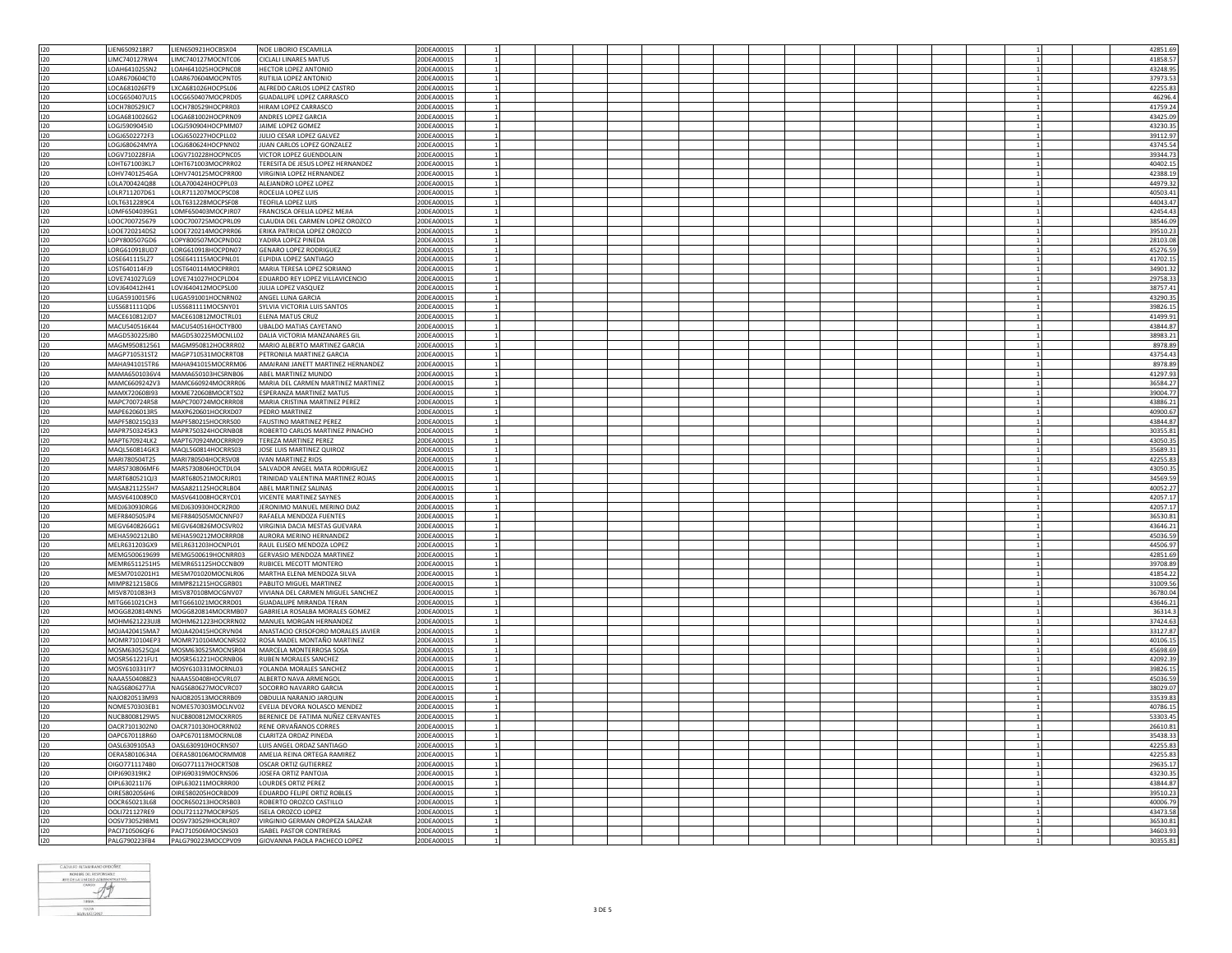| 120        | LIEN6509218R7                   | LIEN650921HOCBSX04                       | NOE LIBORIO ESCAMILLA                                          | 20DEA0001S               |              |  |  |  |  |  | 42851.69             |
|------------|---------------------------------|------------------------------------------|----------------------------------------------------------------|--------------------------|--------------|--|--|--|--|--|----------------------|
| 120        | LIMC740127RW4                   | LIMC740127MOCNTC06                       | <b>CICLALI LINARES MATUS</b>                                   | 20DEA0001S               |              |  |  |  |  |  | 41858.57             |
| 120        | LOAH641025SN2                   | LOAH641025HOCPNC08                       | <b>HECTOR LOPEZ ANTONIO</b>                                    | 20DEA0001S               |              |  |  |  |  |  | 43248.95             |
|            |                                 |                                          |                                                                |                          |              |  |  |  |  |  |                      |
| 120        | OAR670604CT0                    | LOAR670604MOCPNT05                       | RUTILIA LOPEZ ANTONIO                                          | 20DEA0001S               |              |  |  |  |  |  | 37973.53             |
| 120        | OCA681026FT9                    | LXCA681026HOCPSL06                       | ALFREDO CARLOS LOPEZ CASTRO                                    | 20DEA0001S               |              |  |  |  |  |  | 42255.83             |
| 120        | LOCG650407U15                   | LOCG650407MOCPRD05                       | <b>GUADALUPE LOPEZ CARRASCO</b>                                | 20DEA0001S               |              |  |  |  |  |  | 46296.4              |
|            |                                 |                                          |                                                                |                          |              |  |  |  |  |  |                      |
| 120        | LOCH780529JC7                   | LOCH780529HOCPRR03                       | HIRAM LOPEZ CARRASCO                                           | 20DEA0001S               |              |  |  |  |  |  | 41759.24             |
| 120        | 064681002662                    | LOGA681002HOCPRN09                       | ANDRES LOPEZ GARCIA                                            | 20DEA0001S               |              |  |  |  |  |  | 43425.09             |
| 120        | OGJ5909045I0                    | LOGJ590904HOCPMM07                       | JAIME LOPEZ GOMEZ                                              | 20DEA0001S               |              |  |  |  |  |  | 43230.35             |
|            |                                 |                                          |                                                                |                          |              |  |  |  |  |  |                      |
| 120        | LOGJ6502272F3                   | LOGJ650227HOCPLL02                       | JULIO CESAR LOPEZ GALVEZ                                       | 20DEA0001S               | $\mathbf{1}$ |  |  |  |  |  | 39112.97             |
| 120        | LOGJ680624MYA                   | LOGJ680624HOCPNN02                       | JUAN CARLOS LOPEZ GONZALEZ                                     | 20DEA0001S               |              |  |  |  |  |  | 43745.54             |
| 120        | LOGV710228FIA                   | LOGV710228HOCPNC05                       | VICTOR LOPEZ GUENDOLAIN                                        | 20DEA0001S               | $\mathbf{1}$ |  |  |  |  |  | 39344.73             |
|            |                                 |                                          |                                                                |                          |              |  |  |  |  |  |                      |
| 120        | OHT671003KL7                    | LOHT671003MOCPRR02                       | TERESITA DE JESUS LOPEZ HERNANDEZ                              | 20DEA0001S               |              |  |  |  |  |  | 40402.15             |
| 120        | LOHV7401254GA                   | LOHV740125MOCPRR00                       | VIRGINIA LOPEZ HERNANDEZ                                       | 20DEA0001S               |              |  |  |  |  |  | 42388.19             |
| 120        | LOLA700424Q88                   | LOLA700424HOCPPL03                       | ALEJANDRO LOPEZ LOPEZ                                          | 20DEA0001S               |              |  |  |  |  |  | 44979.32             |
|            |                                 |                                          |                                                                |                          |              |  |  |  |  |  |                      |
| 120        | LOLR711207D61                   | LOLR711207MOCPSC08                       | ROCELIA LOPEZ LUIS                                             | 20DEA0001S               |              |  |  |  |  |  | 40503.41             |
| 120        | OLT6312289C4                    | LOLT631228MOCPSF08                       | TEOFILA LOPEZ LUIS                                             | 20DEA0001S               |              |  |  |  |  |  | 44043.47             |
| 120        | OMF6504039G1                    | LOMF650403MOCPJR07                       | FRANCISCA OFELIA LOPEZ MEJIA                                   | 20DEA0001S               |              |  |  |  |  |  | 42454.43             |
|            |                                 |                                          |                                                                |                          |              |  |  |  |  |  |                      |
| 120        | 100C700725679                   | LOOC700725MOCPRL09                       | CLAUDIA DEL CARMEN LOPEZ OROZCO                                | 20DEA0001S               |              |  |  |  |  |  | 38546.09             |
| 120        | LOOE720214DS2                   | LOOE720214MOCPRR06                       | ERIKA PATRICIA LOPEZ OROZCO                                    | 20DEA0001S               |              |  |  |  |  |  | 39510.23             |
| 120        | LOPY800507GD6                   | LOPY800507MOCPND02                       | YADIRA LOPEZ PINEDA                                            | 20DEA0001S               |              |  |  |  |  |  | 28103.08             |
|            |                                 |                                          |                                                                |                          |              |  |  |  |  |  |                      |
| 120        | ORG610918UD7                    | LORG610918HOCPDN07                       | <b>GENARO LOPEZ RODRIGUEZ</b>                                  | 20DEA0001S               |              |  |  |  |  |  | 45276.59             |
| 120        | LOSE641115LZ7                   | LOSE641115MOCPNL01                       | ELPIDIA LOPEZ SANTIAGO                                         | 20DEA0001S               |              |  |  |  |  |  | 41702.19             |
| 120        | LOST640114FJ9                   | LOST640114MOCPRR01                       | MARIA TERESA LOPEZ SORIANO                                     | 20DEA0001S               |              |  |  |  |  |  | 34901.32             |
|            |                                 |                                          |                                                                |                          |              |  |  |  |  |  |                      |
| 120        | LOVE741027LG9                   | LOVE741027HOCPLD04                       | EDUARDO REY LOPEZ VILLAVICENCIO                                | 20DEA0001S               |              |  |  |  |  |  | 29758.33             |
| 120        | OVJ640412H41                    | LOVJ640412MOCPSL00                       | JULIA LOPEZ VASQUEZ                                            | 20DEA0001S               |              |  |  |  |  |  | 38757.43             |
| 120        | LUGA5910015F6                   | LUGA591001HOCNRN02                       | ANGEL LUNA GARCIA                                              | 20DEA0001S               |              |  |  |  |  |  | 43290.3              |
|            |                                 |                                          |                                                                |                          |              |  |  |  |  |  |                      |
| 120        | LUSS681111QD6                   | LUSS681111MOCSNY01                       | SYLVIA VICTORIA LUIS SANTOS                                    | 20DEA0001S               |              |  |  |  |  |  | 39826.19             |
| 120        | MACE610812JD7                   | MACE610812MOCTRL01                       | ELENA MATUS CRUZ                                               | 20DEA0001S               |              |  |  |  |  |  | 41499.9              |
| 120        | MACU540516K44                   | MACU540516HOCTYB00                       | <b>UBALDO MATIAS CAYETANO</b>                                  | 20DEA0001S               |              |  |  |  |  |  | 43844.87             |
|            |                                 |                                          |                                                                |                          |              |  |  |  |  |  |                      |
| 120        | MAGD530225JB0                   | MAGD530225MOCNLL02                       | DALIA VICTORIA MANZANARES GIL                                  | 20DEA0001S               |              |  |  |  |  |  | 38983.23             |
| 120        | MAGM950812561                   | MAGM950812HOCRRR02                       | MARIO ALBERTO MARTINEZ GARCIA                                  | 20DEA0001S               |              |  |  |  |  |  | 8978.89              |
| 120        |                                 | MAGP710531ST2 MAGP710531MOCRRT08         | PETRONILA MARTINEZ GARCIA                                      | 20DEA0001S               |              |  |  |  |  |  | 43754.43             |
|            |                                 |                                          |                                                                |                          |              |  |  |  |  |  |                      |
| 120        | MAHA941015TR6                   | MAHA941015MOCRRM06                       | AMAIRANI JANETT MARTINEZ HERNANDEZ                             | 20DEA0001S               |              |  |  |  |  |  | 8978.89              |
| 120        |                                 | MAMA6501036V4 MAMA650103HCSRNB06         | ABEL MARTINEZ MUNDO                                            | 20DEA0001S               |              |  |  |  |  |  | 41297.93             |
| 120        |                                 | MAMC6609242V3 MAMC660924MOCRRR06         | MARIA DEL CARMEN MARTINEZ MARTINEZ                             | 20DEA0001S               | $\mathbf{1}$ |  |  |  |  |  | 36584.27             |
|            |                                 |                                          |                                                                |                          |              |  |  |  |  |  |                      |
| 120        | MAMX720608I93                   | MXME720608MOCRTS02                       | ESPERANZA MARTINEZ MATUS                                       | 20DEA0001S               |              |  |  |  |  |  | 39004.77             |
| 120        | MAPC700724R58                   | MAPC700724MOCRRR08                       | MARIA CRISTINA MARTINEZ PEREZ                                  | 20DEA0001S               |              |  |  |  |  |  | 43886.23             |
| 120        | MAPE6206013R5                   | MAXP620601HOCRXD07                       | PEDRO MARTINEZ                                                 | 20DEA0001S               |              |  |  |  |  |  | 40900.67             |
|            |                                 |                                          |                                                                |                          |              |  |  |  |  |  |                      |
| 120        | MAPF580215Q33                   | MAPF580215HOCRRS00                       | <b>FAUSTINO MARTINEZ PEREZ</b>                                 | 20DEA0001S               |              |  |  |  |  |  | 43844.87             |
| 120        | MAPR7503245K3                   |                                          |                                                                |                          |              |  |  |  |  |  |                      |
|            |                                 |                                          | ROBERTO CARLOS MARTINEZ PINACHO                                | 20DEA0001S               |              |  |  |  |  |  | 30355.83             |
|            |                                 | MAPR750324HOCRNB08                       |                                                                |                          |              |  |  |  |  |  |                      |
| 120        | MAPT670924LK2                   | MAPT670924MOCRRR09                       | TEREZA MARTINEZ PEREZ                                          | 20DEA0001S               |              |  |  |  |  |  | 43050.35             |
| 120        | MAOL560814GK3                   | MAQL560814HOCRRS03                       | JOSE LUIS MARTINEZ QUIROZ                                      | 20DEA0001S               |              |  |  |  |  |  | 35689.33             |
|            |                                 |                                          |                                                                |                          |              |  |  |  |  |  |                      |
| 120        | MARI780504T25                   | MARI780504HOCRSV08                       | <b>IVAN MARTINEZ RIOS</b>                                      | 20DEA0001S               |              |  |  |  |  |  | 42255.83             |
| 120        | MARS730806MF6                   | MARS730806HOCTDL04                       | SALVADOR ANGEL MATA RODRIGUEZ                                  | 20DEA0001S               |              |  |  |  |  |  | 43050.35             |
| 120        | MART680521QJ3                   | MART680521MOCRJR01                       | TRINIDAD VALENTINA MARTINEZ ROJAS                              | 20DEA0001S               |              |  |  |  |  |  | 34569.59             |
|            | MASA8211255H7                   | MASA821125HOCRLB04                       | ARFI MARTINFZ SALINAS                                          | 20DEA0001S               |              |  |  |  |  |  |                      |
| 120        |                                 |                                          |                                                                |                          |              |  |  |  |  |  | 40052.27             |
| 120        | MASV6410089C0                   | MASV641008HOCRYC01                       | VICENTE MARTINEZ SAYNES                                        | 20DEA0001S               |              |  |  |  |  |  | 42057.17             |
| 120        | MED1630930RG6                   | MEDJ630930HOCRZR00                       | JERONIMO MANUEL MERINO DIAZ                                    | 20DEA0001S               | 1            |  |  |  |  |  | 42057.17             |
|            |                                 |                                          |                                                                |                          |              |  |  |  |  |  |                      |
| 120        | MEFR840505JP4                   | MEFR840505MOCNNF07                       | RAFAELA MENDOZA FUENTES                                        | 20DEA0001S               |              |  |  |  |  |  | 36530.81             |
| 120        |                                 | MEGV640826GG1 MEGV640826MOCSVR02         | VIRGINIA DACIA MESTAS GUEVARA                                  | 20DEA0001S               | $\mathbf{1}$ |  |  |  |  |  | 43646.23             |
| 120        | MEHA590212LB0                   | MEHA590212MOCRRR08                       | AURORA MERINO HERNANDEZ                                        | 20DEA0001S               |              |  |  |  |  |  | 45036.59             |
|            |                                 |                                          |                                                                |                          | $\mathbf{1}$ |  |  |  |  |  |                      |
| 120        | MELR631203GX9                   | MELR631203HOCNPL01                       | RAUL ELISEO MENDOZA LOPEZ                                      | 20DEA0001S               |              |  |  |  |  |  | 44506.97             |
| 120        | MEMG500619699                   | MEMG500619HOCNRR03                       | GERVASIO MENDOZA MARTINEZ                                      | 20DEA0001S               |              |  |  |  |  |  | 42851.69             |
| 120        |                                 | MEMR6511251H5 MEMR651125HOCCNB09         | RUBICEL MECOTT MONTERO                                         | 20DEA0001S               |              |  |  |  |  |  | 39708.89             |
|            | MESM7010201H1                   | MESM701020MOCNLR06                       | MARTHA ELENA MENDOZA SILVA                                     | 20DEA0001S               |              |  |  |  |  |  |                      |
| 120        |                                 |                                          |                                                                |                          |              |  |  |  |  |  | 41854.22             |
| 120        | MIMP821215BC6                   | MIMP821215HOCGRB01                       | PABLITO MIGUEL MARTINEZ                                        | 20DEA0001S               |              |  |  |  |  |  | 31009.56             |
| 120        | MISV8701083H3                   | MISV870108MOCGNV07                       | VIVIANA DEL CARMEN MIGUEL SANCHEZ                              | 20DEA0001S               |              |  |  |  |  |  | 36780.04             |
| 120        | MITG661021CH3                   | MITG661021MOCRRD01                       | <b>GUADALUPE MIRANDA TERAN</b>                                 | 20DEA0001S               |              |  |  |  |  |  | 43646.23             |
|            |                                 |                                          |                                                                |                          |              |  |  |  |  |  |                      |
| 120        |                                 | MOGG820814NN5 MOGG820814MOCRMB07         | GABRIELA ROSALBA MORALES GOMEZ                                 | 20DEA0001S               | $\mathbf{1}$ |  |  |  |  |  | 36314.3              |
| 120        | MOHM621223UJ8                   | MOHM621223HOCRRN02                       | MANUEL MORGAN HERNANDEZ                                        | 20DEA0001S               |              |  |  |  |  |  | 37424.63             |
| 120        | MOJA420415MA7                   | MOJA420415HOCRVN04                       | ANASTACIO CRISOFORO MORALES JAVIER                             | 20DEA0001S               |              |  |  |  |  |  |                      |
|            |                                 |                                          |                                                                |                          |              |  |  |  |  |  | 33127.87             |
| 120        |                                 | MOMR710104EP3 MOMR710104MOCNRS02         | ROSA MADEL MONTAÑO MARTINEZ                                    | 20DEA0001S               |              |  |  |  |  |  | 40106.15             |
| 120        |                                 | MOSM630525QJ4 MOSM630525MOCNSR04         | MARCELA MONTERROSA SOSA                                        | 20DEA0001S               |              |  |  |  |  |  | 45698.69             |
| 120        | MOSR561221FU1                   | MOSR561221HOCRNB06                       | <b>RUBEN MORALES SANCHEZ</b>                                   | 20DEA0001S               |              |  |  |  |  |  | 42092.39             |
|            |                                 |                                          |                                                                |                          |              |  |  |  |  |  |                      |
| 120        | MOSY610331IY7                   | MOSY610331MOCRNL03                       | YOLANDA MORALES SANCHEZ                                        | 20DEA0001S               |              |  |  |  |  |  | 39826.1              |
| 120        | NAAA5504088Z3                   | NAAA550408HOCVRL07                       | ALBERTO NAVA ARMENGOL                                          | 20DEA0001S               |              |  |  |  |  |  | 45036.59             |
|            | NAGS6806277IA                   | NAGS680627MOCVRC07                       | SOCORRO NAVARRO GARCIA                                         | 20DEA0001S               |              |  |  |  |  |  | 38029.0              |
| 120        |                                 |                                          |                                                                |                          |              |  |  |  |  |  |                      |
| 120        | NAJO820513M93                   | NAJO820513MOCRRB09                       | OBDULIA NARANJO JARQUIN                                        | 20DEA0001S               |              |  |  |  |  |  | 33539.83             |
| 120        | NOME570303EB1                   | NOME570303MOCLNV02                       | EVELIA DEVORA NOLASCO MENDEZ                                   | 20DEA0001S               |              |  |  |  |  |  | 40786.19             |
|            |                                 |                                          | BERENICE DE FATIMA NUÑEZ CERVANTES                             | 20DEA0001S               |              |  |  |  |  |  |                      |
| 120        | NUCB8008129W5                   | NUCB800812MOCXRR05                       |                                                                |                          |              |  |  |  |  |  | 53303.45             |
| 120        | OACR7101302N0                   | OACR710130HOCRRN02                       | RENE ORVAÑANOS CORRES                                          | 20DEA0001S               |              |  |  |  |  |  | 26610.81             |
| 120        | OAPC670118R60                   | OAPC670118MOCRNL08                       | CLARITZA ORDAZ PINEDA                                          | 20DEA0001S               |              |  |  |  |  |  | 35438.33             |
|            |                                 |                                          |                                                                |                          |              |  |  |  |  |  |                      |
| 120        | OASL630910SA3                   | OASL630910HOCRNS07                       | LUIS ANGEL ORDAZ SANTIAGO                                      | 20DEA0001S               |              |  |  |  |  |  | 42255.83             |
| 120        | OERA58010634A                   | OERA580106MOCRMM08                       | AMELIA REINA ORTEGA RAMIREZ                                    | 20DEA0001S               | $\mathbf{1}$ |  |  |  |  |  | 42255.83             |
| 120        | OIGO7711174B0                   | OIGO771117HOCRTS08                       | <b>OSCAR ORTIZ GUTIERREZ</b>                                   | 20DEA0001S               |              |  |  |  |  |  | 29635.17             |
|            |                                 |                                          |                                                                |                          |              |  |  |  |  |  |                      |
| 120        | OIPJ690319IK2                   | OIPJ690319MOCRNS06                       | JOSEFA ORTIZ PANTOJA                                           | 20DEA0001S               |              |  |  |  |  |  | 43230.35             |
| 120        | OIPL630211I76                   | OIPL630211MOCRRR00                       | LOURDES ORTIZ PEREZ                                            | 20DEA0001S               |              |  |  |  |  |  | 43844.87             |
| 120        | OIRE5802056H6                   | OIRE580205HOCRBD09                       | EDUARDO FELIPE ORTIZ ROBLES                                    | 20DEA0001S               |              |  |  |  |  |  | 39510.23             |
|            |                                 |                                          |                                                                |                          |              |  |  |  |  |  |                      |
| 120        | OOCR650213L68                   | OOCR650213HOCRSB03                       | ROBERTO OROZCO CASTILLO                                        | 20DEA0001S               |              |  |  |  |  |  | 40006.79             |
| 120        | OOLI721127RE9                   | OOLI721127MOCRPS05                       | <b>ISELA OROZCO LOPEZ</b>                                      | 20DEA0001S               |              |  |  |  |  |  | 43473.58             |
| 120        | OOSV7305298M1                   | OOSV730529HOCRLR07                       | VIRGINIO GERMAN OROPEZA SALAZAR                                | 20DEA0001S               |              |  |  |  |  |  | 36530.81             |
|            |                                 |                                          |                                                                |                          |              |  |  |  |  |  |                      |
| 120<br>120 | PACI710506QF6<br>PAI G790223FB4 | PACI710506MOCSNS03<br>PALG790223MOCCPV09 | <b>ISABEL PASTOR CONTRERAS</b><br>GIOVANNA PAOLA PACHECO LOPEZ | 20DEA0001S<br>20DEA0001S |              |  |  |  |  |  | 34603.93<br>30355.81 |

$$
\begin{array}{r}\n\text{CADULTO ATAMIMANG OF DINGWEZ} \\
\text{INDEUM OF IN EING E AOMIMESTBATWA} \\
\text{INEC DE LA UINGD ACMAMESTBATWA} \\
\text{PIGU, LA UINGD} \\
\text{PIGU, AOMIGD} \\
\text{PIGU, AOMIGD} \\
\text{PIGU, AOMIGD} \\
\text{PIGU, AOMIGD} \\
\text{PIGU, AOMIGD} \\
\end{array}
$$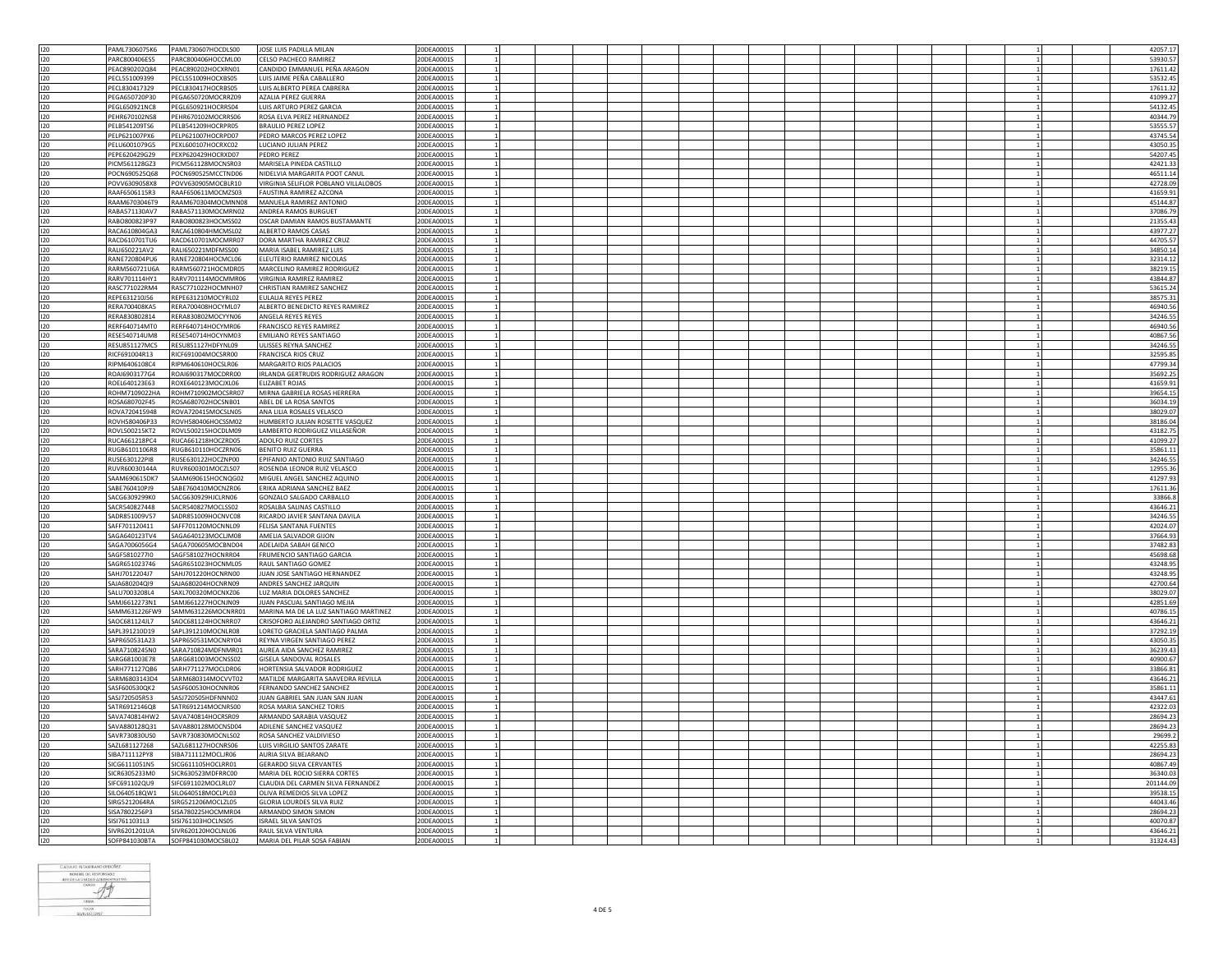| 120        |                                            |                                       |            |  |  |  |                 |  |           |
|------------|--------------------------------------------|---------------------------------------|------------|--|--|--|-----------------|--|-----------|
|            | PAML7306075K6<br>PAML730607HOCDLS00        | JOSE LUIS PADILLA MILAN               | 20DEA0001S |  |  |  |                 |  | 42057.17  |
| 120        | PARC800406HOCCML00<br>PARC800406ES5        | CELSO PACHECO RAMIREZ                 | 20DEA0001S |  |  |  |                 |  | 53930.57  |
| 120        | PEAC890202Q84<br>PEAC890202HOCXRN01        | CANDIDO EMMANUEL PEÑA ARAGON          | 20DEA0001S |  |  |  |                 |  | 17611.42  |
|            |                                            |                                       |            |  |  |  |                 |  |           |
| 120        | PECL551009399<br>PECL551009HOCXBS05        | LUIS JAIME PEÑA CABALLERO             | 20DEA0001S |  |  |  |                 |  | 53532.45  |
| 120        | PECL830417329<br>PECL830417HOCRBS05        | LUIS ALBERTO PEREA CABRERA            | 20DEA0001S |  |  |  |                 |  | 17611.32  |
| 120        | PEGA650720MOCRRZ09                         | AZALIA PEREZ GUERRA                   | 20DEA0001S |  |  |  |                 |  |           |
|            | PEGA650720P30                              |                                       |            |  |  |  |                 |  | 41099.27  |
| 120        | PEGL650921NC8<br>PEGL650921HOCRRS04        | LUIS ARTURO PEREZ GARCIA              | 20DEA0001S |  |  |  |                 |  | 54132.45  |
| 120        | <b>PEHR670102NS8</b><br>PEHR670102MOCRRS06 | ROSA ELVA PEREZ HERNANDEZ             | 20DEA0001S |  |  |  | $\mathbf{1}$    |  | 40344.79  |
| 120        | PELB541209TS6<br>PELB541209HOCRPR05        | <b>BRAULIO PEREZ LOPEZ</b>            | 20DEA0001S |  |  |  |                 |  | 53555.57  |
|            |                                            |                                       |            |  |  |  |                 |  |           |
| 120        | PELP621007HOCRPD07<br>PELP621007PX6        | PEDRO MARCOS PEREZ LOPEZ              | 20DEA0001S |  |  |  | <sup>1</sup>    |  | 43745.54  |
| 120        | PELU6001079G5<br>PEXL600107HOCRXC02        | LUCIANO JULIAN PEREZ                  | 20DEA0001S |  |  |  | 1               |  | 43050.35  |
| 120        | PEPE620429G29<br>PEXP620429HOCRXD07        | <b>PEDRO PEREZ</b>                    | 20DEA0001S |  |  |  | <sup>1</sup>    |  | 54207.45  |
|            |                                            |                                       |            |  |  |  |                 |  |           |
| 120        | PICM561128GZ3<br>PICM561128MOCNSR03        | MARISELA PINEDA CASTILLO              | 20DEA0001S |  |  |  |                 |  | 42421.33  |
| 120        | POCN690525Q68<br>POCN690525MCCTND06        | NIDELVIA MARGARITA POOT CANUL         | 20DEA0001S |  |  |  | $\overline{1}$  |  | 46511.14  |
| 120        | POVV6309058X8<br>POVV630905MOCBLR10        | VIRGINIA SELIFLOR POBLANO VILLALOBOS  | 20DEA0001S |  |  |  | $\mathbf{1}$    |  | 42728.09  |
|            |                                            |                                       |            |  |  |  |                 |  |           |
| 120        | RAAF6506115R3<br>RAAF650611MOCMZS03        | FAUSTINA RAMIREZ AZCONA               | 20DEA0001S |  |  |  | $1\,$           |  | 41659.91  |
| 120        | RAAM6703046T9<br>RAAM670304MOCMNN08        | MANUELA RAMIREZ ANTONIO               | 20DEA0001S |  |  |  |                 |  | 45144.87  |
| 120        | RABA571130AV7<br>RABA571130MOCMRN02        | ANDREA RAMOS BURGUET                  | 20DEA0001S |  |  |  |                 |  | 37086.79  |
| 120        | RABO800823HOCMSS02<br>RABO800823P97        | OSCAR DAMIAN RAMOS BUSTAMANTE         | 20DEA0001S |  |  |  | $\mathbf{1}$    |  | 21355.43  |
|            |                                            |                                       |            |  |  |  |                 |  |           |
| 120        | RACA610804GA3<br>RACA610804HMCMSL02        | ALBERTO RAMOS CASAS                   | 20DEA0001S |  |  |  | $\mathbf{1}$    |  | 43977.27  |
| 120        | RACD610701TU6<br>RACD610701MOCMRR07        | DORA MARTHA RAMIREZ CRUZ              | 20DEA0001S |  |  |  | <sup>1</sup>    |  | 44705.57  |
| 120        | RALI650221AV2<br>RALI650221MDFMSS00        | MARIA ISABEL RAMIREZ LUIS             | 20DEA0001S |  |  |  |                 |  | 34850.14  |
|            |                                            |                                       |            |  |  |  |                 |  |           |
| 120        | RANE720804PU6<br>RANE720804HOCMCL06        | ELEUTERIO RAMIREZ NICOLAS             | 20DEA0001S |  |  |  | $\overline{1}$  |  | 32314.12  |
| 120        | RARM560721U6A<br>RARM560721HOCMDR05        | MARCELINO RAMIREZ RODRIGUEZ           | 20DEA0001S |  |  |  | $1\vert$        |  | 38219.15  |
| 120        | RARV701114HY1<br>RARV701114MOCMMR06        | VIRGINIA RAMIREZ RAMIREZ              | 20DEA0001S |  |  |  | <sup>1</sup>    |  | 43844.87  |
|            |                                            |                                       |            |  |  |  |                 |  |           |
| 120        | RASC771022RM4<br>RASC771022HOCMNH07        | CHRISTIAN RAMIREZ SANCHEZ             | 20DEA0001S |  |  |  |                 |  | 53615.24  |
| 120        | REPE631210J56<br>REPE631210MOCYRL02        | EULALIA REYES PEREZ                   | 20DEA0001S |  |  |  | $\overline{1}$  |  | 38575.3   |
| 120        | RERA700408HOCYML07<br>RERA700408KA5        | ALBERTO BENEDICTO REYES RAMIREZ       | 20DEA0001S |  |  |  |                 |  | 46940.56  |
|            |                                            |                                       |            |  |  |  |                 |  |           |
| 120        | RERA830802814<br>RERA830802MOCYYN06        | ANGELA REYES REYES                    | 20DEA0001S |  |  |  | $\mathbf{1}$    |  | 34246.55  |
| 120        | RERF640714MT0<br>RERF640714HOCYMR06        | <b>FRANCISCO REYES RAMIREZ</b>        | 20DEA0001S |  |  |  |                 |  | 46940.56  |
| 120        | RESE540714UM8<br>RESE540714HOCYNM03        | <b>EMILIANO REYES SANTIAGO</b>        | 20DEA0001S |  |  |  |                 |  | 40867.56  |
|            |                                            |                                       |            |  |  |  |                 |  |           |
| 120        | RESU851127HDFYNL09<br>RESU851127MC5        | ULISSES REYNA SANCHEZ                 | 20DEA0001S |  |  |  | $\overline{1}$  |  | 34246.55  |
| 120        | RICF691004R13<br>RICF691004MOCSRR00        | FRANCISCA RIOS CRUZ                   | 20DEA0001S |  |  |  | $\mathbf{1}$    |  | 32595.85  |
| 120        | RIPM6406108C4<br>RIPM640610HOCSLR06        | MARGARITO RIOS PALACIOS               | 20DEA0001S |  |  |  |                 |  | 47799.34  |
|            |                                            |                                       |            |  |  |  |                 |  |           |
| 120        | ROAI6903177G4<br>ROAI690317MOCDRR00        | IRLANDA GERTRUDIS RODRIGUEZ ARAGON    | 20DEA0001S |  |  |  |                 |  | 35692.25  |
| 120        | ROXE640123MOCJXL06<br>ROEL640123E63        | <b>ELIZABET ROJAS</b>                 | 20DEA0001S |  |  |  | <sup>1</sup>    |  | 41659.9   |
| 120        | ROHM7109022HA<br>ROHM710902MOCSRR07        | MIRNA GABRIELA ROSAS HERRERA          | 20DEA0001S |  |  |  |                 |  | 39654.15  |
|            |                                            |                                       |            |  |  |  |                 |  |           |
| 120        | ROSA680702F45<br>ROSA680702HOCSNB01        | ABEL DE LA ROSA SANTOS                | 20DEA0001S |  |  |  | <sup>1</sup>    |  | 36034.19  |
| 120        | ROVA720415948<br>ROVA720415MOCSLN05        | ANA LILIA ROSALES VELASCO             | 20DEA0001S |  |  |  |                 |  | 38029.07  |
| 120        | ROVH580406P33<br>ROVH580406HOCSSM02        | HUMBERTO JULIAN ROSETTE VASQUEZ       | 20DEA0001S |  |  |  |                 |  | 38186.04  |
|            | ROVL500215KT2<br>ROVL500215HOCDLM09        | LAMBERTO RODRIGUEZ VILLASEÑOR         | 20DEA0001S |  |  |  |                 |  | 43182.75  |
| 120        |                                            |                                       |            |  |  |  |                 |  |           |
| 120        | RUCA661218PC4<br>RUCA661218HOCZRD05        | ADOLFO RUIZ CORTES                    | 20DEA0001S |  |  |  | $1\overline{ }$ |  | 41099.27  |
| 120        | RUGB6101106R8<br>RUGB610110HOCZRN06        | <b>BENITO RUIZ GUERRA</b>             | 20DEA0001S |  |  |  |                 |  | 35861.11  |
|            |                                            |                                       |            |  |  |  |                 |  |           |
| 120        | RUSE630122PI8<br>RUSE630122HOCZNP00        | EPIFANIO ANTONIO RUIZ SANTIAGO        | 20DEA0001S |  |  |  |                 |  | 34246.55  |
| 120        | RUVR600301MOCZLS07<br>RUVR60030144A        | ROSENDA LEONOR RUIZ VELASCO           | 20DEA0001S |  |  |  | 1               |  | 12955.36  |
| 120        | SAAM690615DK7<br>SAAM690615HOCNQG02        | MIGUEL ANGEL SANCHEZ AQUINO           | 20DEA0001S |  |  |  |                 |  | 41297.93  |
|            |                                            |                                       |            |  |  |  |                 |  |           |
| 120        | SARF760410PI9<br>SABE760410MOCNZR06        | ERIKA ADRIANA SANCHEZ BAEZ            | 20DEA0001S |  |  |  | <sup>1</sup>    |  | 17611.36  |
| 120        | SACG6309299K0<br>SACG630929HJCLRN06        | GONZALO SALGADO CARBALLO              | 20DEA0001S |  |  |  |                 |  | 33866.8   |
| 120        | SACR540827448<br>SACR540827MOCLSS02        | ROSALBA SALINAS CASTILLO              | 20DEA0001S |  |  |  | $\overline{1}$  |  | 43646.2   |
| 120        | SADR851009V57<br>SADR851009HOCNVC08        | RICARDO JAVIER SANTANA DAVILA         | 20DEA0001S |  |  |  |                 |  | 34246.55  |
|            |                                            |                                       |            |  |  |  |                 |  |           |
| 120        | SAFF701120411<br>SAFF701120MOCNNL09        | FELISA SANTANA FUENTES                | 20DEA0001S |  |  |  | $\overline{1}$  |  | 42024.07  |
| 120        | SAGA640123TV4<br>SAGA640123MOCLIM08        | AMELIA SALVADOR GIJON                 | 20DEA0001S |  |  |  |                 |  | 37664.93  |
| 120        | SAGA7006056G4<br>SAGA700605MOCBND04        | ADELAIDA SABAH GENICO                 | 20DEA0001S |  |  |  |                 |  | 37482.83  |
|            |                                            |                                       |            |  |  |  |                 |  |           |
| 120        | SAGF581027HOCNRR04<br>SAGF5810277I0        | FRUMENCIO SANTIAGO GARCIA             | 20DEA0001S |  |  |  |                 |  | 45698.68  |
| 120        | SAGR651023746<br>SAGR651023HOCNML05        | RAUL SANTIAGO GOMEZ                   | 20DEA0001S |  |  |  |                 |  | 43248.95  |
|            |                                            |                                       |            |  |  |  |                 |  |           |
| 120        | SAH1701220417<br>SAH1701220HOCNRN00        | JUAN JOSE SANTIAGO HERNANDEZ          | 20DEA0001S |  |  |  |                 |  | 43248.95  |
| 120        | SAJA680204Q19<br>SAJA680204HOCNRN09        | ANDRES SANCHEZ JARQUIN                | 20DEA0001S |  |  |  |                 |  | 42700.64  |
| 120        | SAXL700320MOCNXZ06<br>SALU7003208L4        | LUZ MARIA DOLORES SANCHEZ             | 20DEA0001S |  |  |  | $\overline{1}$  |  | 38029.07  |
| 120        | SAMJ6612273N1<br>SAMJ661227HOCNJN09        |                                       | 20DEA0001S |  |  |  |                 |  | 42851.69  |
|            |                                            | JUAN PASCUAL SANTIAGO MEJIA           |            |  |  |  |                 |  |           |
| 120        | SAMM631226FW9<br>SAMM631226MOCNRR01        | MARINA MA DE LA LUZ SANTIAGO MARTINEZ | 20DEA0001S |  |  |  |                 |  | 40786.15  |
| 120        |                                            |                                       |            |  |  |  | <sup>1</sup>    |  | 43646.21  |
|            | SAOC681124JL7<br>SAOC681124HOCNRR07        | CRISOFORO ALEJANDRO SANTIAGO ORTIZ    | 20DEA0001S |  |  |  |                 |  |           |
|            |                                            |                                       |            |  |  |  |                 |  |           |
| 120        | SAPL391210D19<br>SAPL391210MOCNLR08        | LORETO GRACIELA SANTIAGO PALMA        | 20DEA0001S |  |  |  |                 |  | 37292.19  |
| 120        | SAPR650531A23<br>SAPR650531MOCNRY04        | REYNA VIRGEN SANTIAGO PEREZ           | 20DEA0001S |  |  |  |                 |  | 43050.35  |
| 120        | SARA710824MDFNMR01                         | AUREA AIDA SANCHEZ RAMIREZ            | 20DEA0001S |  |  |  | <sup>1</sup>    |  |           |
|            | SARA7108245N0                              |                                       |            |  |  |  |                 |  | 36239.43  |
| 120        | SARG681003E78<br>SARG681003MOCNSS02        | <b>GISELA SANDOVAL ROSALES</b>        | 20DEA0001S |  |  |  |                 |  | 40900.67  |
| 120        | SARH771127QB6<br>SARH771127MOCLDR06        | HORTENSIA SALVADOR RODRIGUE           | 20DEA0001S |  |  |  |                 |  | 33866.81  |
| 120        | SARM680314MOCVVT02<br>SARM6803143D4        | MATILDE MARGARITA SAAVEDRA REVILLA    | 20DEA0001S |  |  |  | $\overline{1}$  |  | 43646.21  |
|            |                                            |                                       |            |  |  |  |                 |  |           |
| 120        | SASF600530QK2<br>SASF600530HOCNNR06        | FERNANDO SANCHEZ SANCHEZ              | 20DEA0001S |  |  |  |                 |  | 35861.11  |
| 120        | SASI720505R53<br>SASI720505HDENNN02        | <b>IUAN GABRIEL SAN JUAN SAN JUAN</b> | 20DEA0001S |  |  |  |                 |  | 43447.61  |
| 120        | SATR6912146Q8<br>SATR691214MOCNRS00        | ROSA MARIA SANCHEZ TORIS              | 20DEA0001S |  |  |  |                 |  | 42322.03  |
|            |                                            |                                       |            |  |  |  |                 |  |           |
| 120        | SAVA740814HW2<br>SAVA740814HOCRSR09        | ARMANDO SARABIA VASQUEZ               | 20DEA0001S |  |  |  |                 |  | 28694.23  |
| 120        | SAVA880128Q31<br>SAVA880128MOCNSD04        | ADILENE SANCHEZ VASQUEZ               | 20DEA0001S |  |  |  |                 |  | 28694.23  |
| 120        | SAVR730830US0<br>SAVR730830MOCNLS02        | ROSA SANCHEZ VALDIVIESO               | 20DEA0001S |  |  |  | -1              |  | 29699.2   |
|            |                                            |                                       |            |  |  |  |                 |  |           |
| 120        | SAZL681127268<br>SAZL681127HOCNRS06        | LUIS VIRGILIO SANTOS ZARATE           | 20DEA0001S |  |  |  |                 |  | 42255.83  |
| 120        | SIBA711112PY8<br>SIBA711112MOCLJR06        | AURIA SILVA BEJARANO                  | 20DEA0001S |  |  |  | $\mathbf{1}$    |  | 28694.23  |
| 120        | SICG6111051N5<br>SICG611105HOCLRR01        | <b>GERARDO SILVA CERVANTES</b>        | 20DEA0001S |  |  |  | $\mathbf{1}$    |  | 40867.49  |
|            |                                            |                                       |            |  |  |  |                 |  |           |
| 120        | SICR6305233M0<br>SICR630523MDFRRC00        | MARIA DEL ROCIO SIERRA CORTES         | 20DEA0001S |  |  |  |                 |  | 36340.03  |
| 120        | SIFC691102QU9<br>SIFC691102MOCLRL07        | CLAUDIA DEL CARMEN SILVA FERNANDEZ    | 20DEA0001S |  |  |  |                 |  | 201144.09 |
| 120        | SILO640518QW1<br>SILO640518MOCLPL03        | OLIVA REMEDIOS SILVA LOPEZ            | 20DEA0001S |  |  |  |                 |  | 39538.15  |
| 120        | SIRG521206MOCLZL05<br>SIRG5212064RA        | <b>GLORIA LOURDES SILVA RUIZ</b>      | 20DEA0001S |  |  |  |                 |  | 44043.46  |
|            |                                            |                                       |            |  |  |  |                 |  |           |
| 120        | SISA7802256P3<br>SISA780225HOCMMR04        | ARMANDO SIMON SIMON                   | 20DEA0001S |  |  |  |                 |  | 28694.23  |
| 120        | SISI7611031L3<br>SISI761103HOCLNS05        | <b>ISRAEL SILVA SANTOS</b>            | 20DEA0001S |  |  |  | $\overline{1}$  |  | 40070.87  |
|            | SIVR6201201UA<br>SIVR620120HOCLNL06        | RAUL SILVA VENTURA                    | 20DEA0001S |  |  |  |                 |  | 43646.21  |
| 120<br>120 | SOFP841030MOCSBL02<br>SOFP841030BTA        | MARIA DEL PILAR SOSA FABIAN           | 20DEA0001S |  |  |  |                 |  | 31324.43  |

$$
\begin{array}{r}\n\hline\n\text{CAO(UPO A TAMIRANG O DIDG\&2)} \\
\hline\n\text{NPO (EM) CUMERO ACDAMING TBA TING} \\
\hline\n\text{HPO (EM) CUMO} \\
\hline\n\end{array}
$$